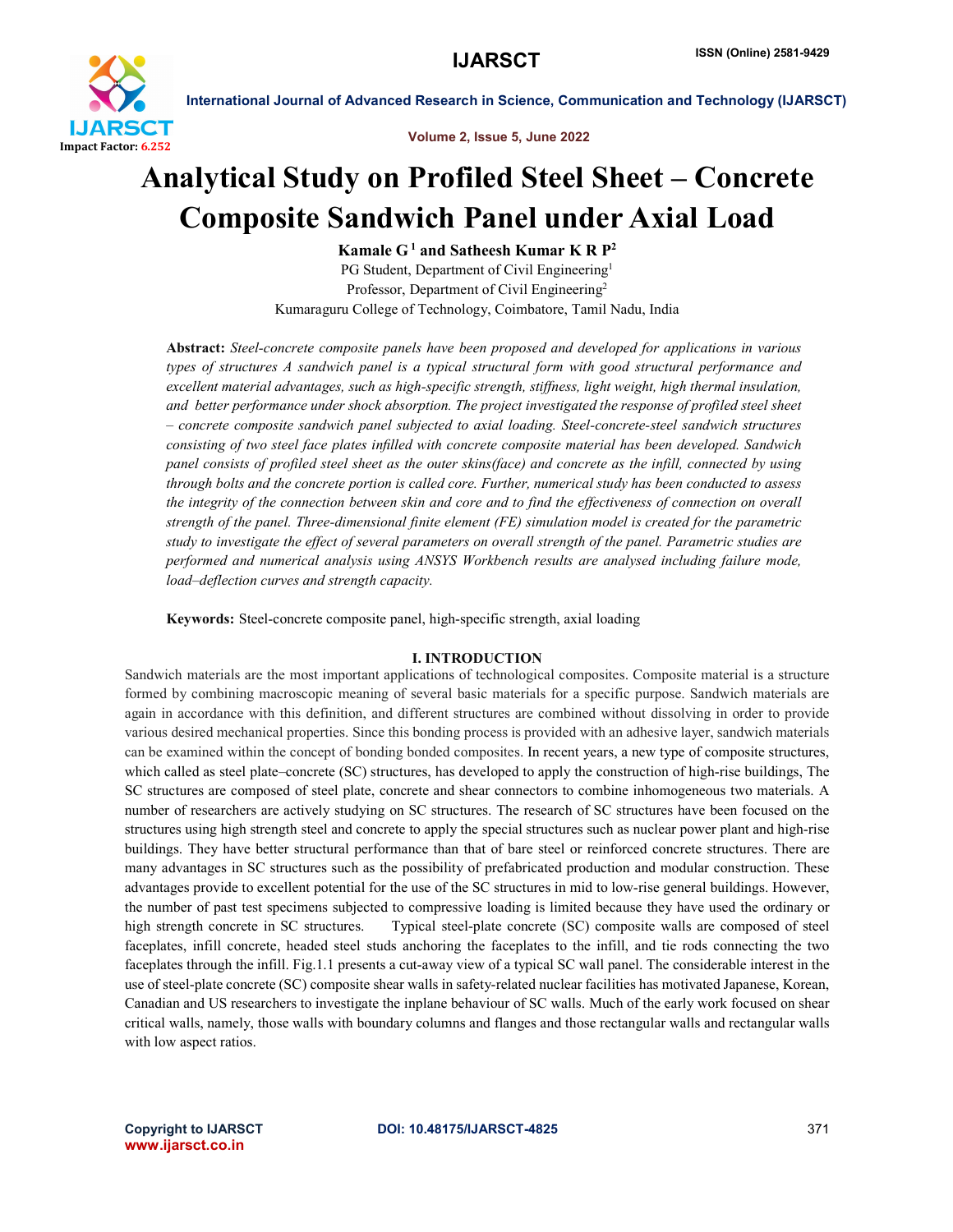

Volume 2, Issue 5, June 2022

## Analytical Study on Profiled Steel Sheet – Concrete Composite Sandwich Panel under Axial Load

Kamale  $G<sup>1</sup>$  and Satheesh Kumar K R  $P<sup>2</sup>$ PG Student, Department of Civil Engineering<sup>1</sup> Professor, Department of Civil Engineering<sup>2</sup> Kumaraguru College of Technology, Coimbatore, Tamil Nadu, India

Abstract: *Steel-concrete composite panels have been proposed and developed for applications in various types of structures A sandwich panel is a typical structural form with good structural performance and excellent material advantages, such as high-specific strength, stiffness, light weight, high thermal insulation, and better performance under shock absorption. The project investigated the response of profiled steel sheet – concrete composite sandwich panel subjected to axial loading. Steel-concrete-steel sandwich structures consisting of two steel face plates infilled with concrete composite material has been developed. Sandwich panel consists of profiled steel sheet as the outer skins(face) and concrete as the infill, connected by using through bolts and the concrete portion is called core. Further, numerical study has been conducted to assess the integrity of the connection between skin and core and to find the effectiveness of connection on overall strength of the panel. Three-dimensional finite element (FE) simulation model is created for the parametric study to investigate the effect of several parameters on overall strength of the panel. Parametric studies are performed and numerical analysis using ANSYS Workbench results are analysed including failure mode, load–deflection curves and strength capacity.*

Keywords: Steel-concrete composite panel, high-specific strength, axial loading

#### I. INTRODUCTION

Sandwich materials are the most important applications of technological composites. Composite material is a structure formed by combining macroscopic meaning of several basic materials for a specific purpose. Sandwich materials are again in accordance with this definition, and different structures are combined without dissolving in order to provide various desired mechanical properties. Since this bonding process is provided with an adhesive layer, sandwich materials can be examined within the concept of bonding bonded composites. In recent years, a new type of composite structures, which called as steel plate–concrete (SC) structures, has developed to apply the construction of high-rise buildings, The SC structures are composed of steel plate, concrete and shear connectors to combine inhomogeneous two materials. A number of researchers are actively studying on SC structures. The research of SC structures have been focused on the structures using high strength steel and concrete to apply the special structures such as nuclear power plant and high-rise buildings. They have better structural performance than that of bare steel or reinforced concrete structures. There are many advantages in SC structures such as the possibility of prefabricated production and modular construction. These advantages provide to excellent potential for the use of the SC structures in mid to low-rise general buildings. However, the number of past test specimens subjected to compressive loading is limited because they have used the ordinary or high strength concrete in SC structures. Typical steel-plate concrete (SC) composite walls are composed of steel faceplates, infill concrete, headed steel studs anchoring the faceplates to the infill, and tie rods connecting the two faceplates through the infill. Fig.1.1 presents a cut-away view of a typical SC wall panel. The considerable interest in the use of steel-plate concrete (SC) composite shear walls in safety-related nuclear facilities has motivated Japanese, Korean, Canadian and US researchers to investigate the inplane behaviour of SC walls. Much of the early work focused on shear critical walls, namely, those walls with boundary columns and flanges and those rectangular walls and rectangular walls with low aspect ratios.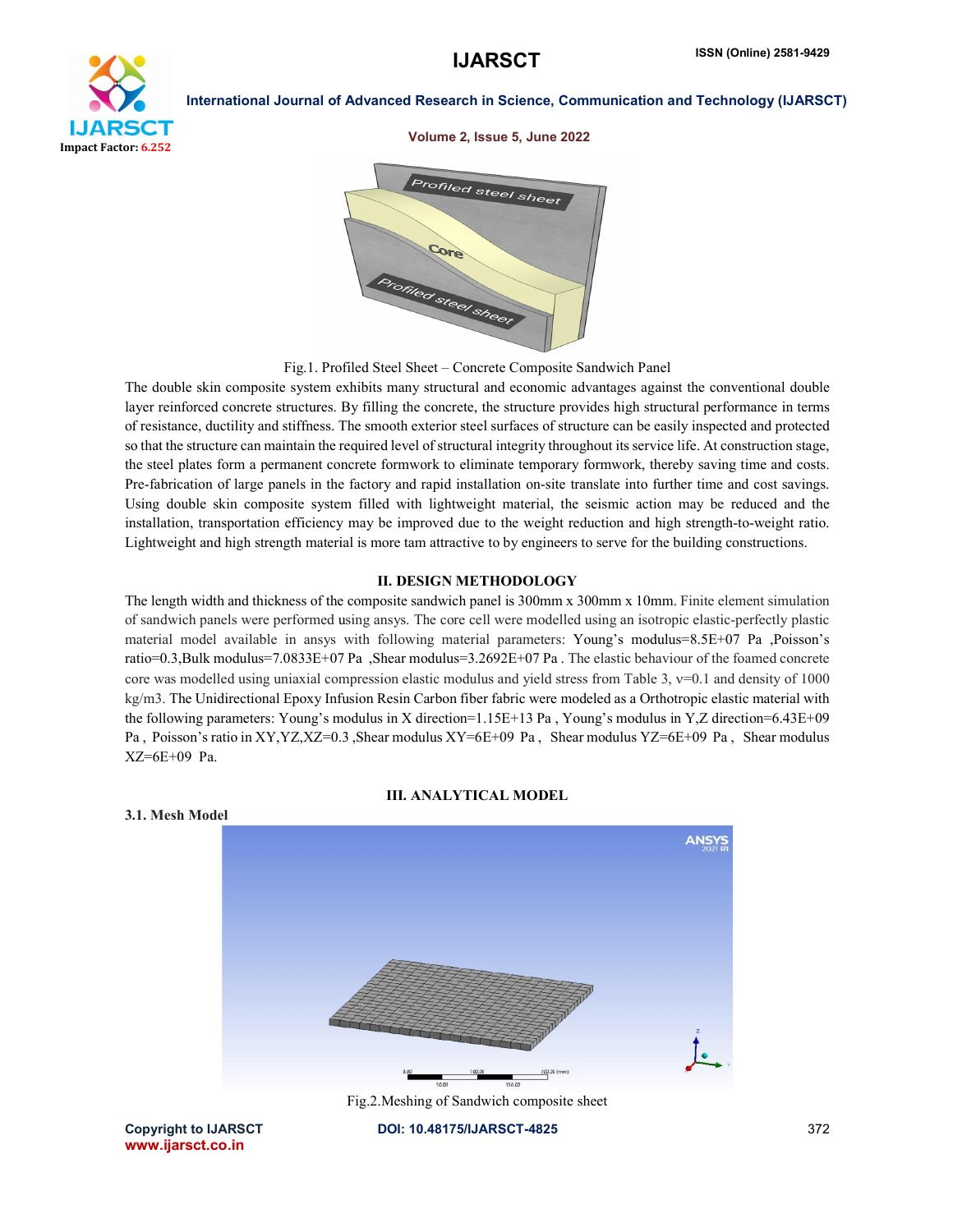

#### Volume 2, Issue 5, June 2022



Fig.1. Profiled Steel Sheet – Concrete Composite Sandwich Panel

The double skin composite system exhibits many structural and economic advantages against the conventional double layer reinforced concrete structures. By filling the concrete, the structure provides high structural performance in terms of resistance, ductility and stiffness. The smooth exterior steel surfaces of structure can be easily inspected and protected so that the structure can maintain the required level of structural integrity throughout its service life. At construction stage, the steel plates form a permanent concrete formwork to eliminate temporary formwork, thereby saving time and costs. Pre-fabrication of large panels in the factory and rapid installation on-site translate into further time and cost savings. Using double skin composite system filled with lightweight material, the seismic action may be reduced and the installation, transportation efficiency may be improved due to the weight reduction and high strength-to-weight ratio. Lightweight and high strength material is more tam attractive to by engineers to serve for the building constructions.

#### II. DESIGN METHODOLOGY

The length width and thickness of the composite sandwich panel is 300mm x 300mm x 10mm. Finite element simulation of sandwich panels were performed using ansys. The core cell were modelled using an isotropic elastic-perfectly plastic material model available in ansys with following material parameters: Young's modulus=8.5E+07 Pa ,Poisson's ratio=0.3,Bulk modulus=7.0833E+07 Pa ,Shear modulus=3.2692E+07 Pa . The elastic behaviour of the foamed concrete core was modelled using uniaxial compression elastic modulus and yield stress from Table 3,  $v=0.1$  and density of 1000 kg/m3. The Unidirectional Epoxy Infusion Resin Carbon fiber fabric were modeled as a Orthotropic elastic material with the following parameters: Young's modulus in X direction=1.15E+13 Pa , Young's modulus in Y,Z direction=6.43E+09 Pa, Poisson's ratio in XY, YZ, XZ=0.3 , Shear modulus XY=6E+09 Pa, Shear modulus YZ=6E+09 Pa, Shear modulus XZ=6E+09 Pa.

III. ANALYTICAL MODEL



3.1. Mesh Model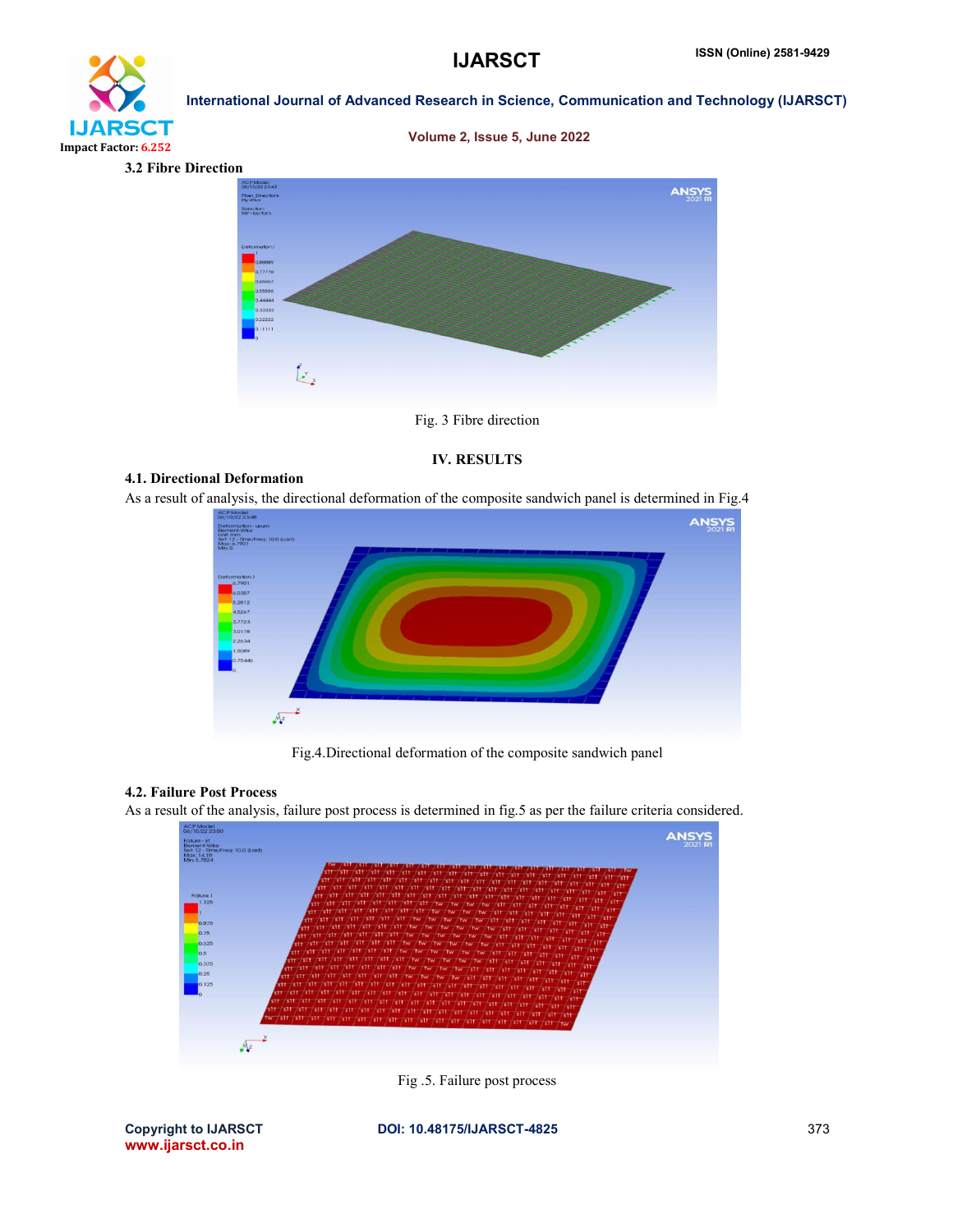# **IJARSCT** Impact Factor: 6.252

Volume 2, Issue 5, June 2022

International Journal of Advanced Research in Science, Communication and Technology (IJARSCT)





### Fig. 3 Fibre direction

## IV. RESULTS

#### 4.1. Directional Deformation

As a result of analysis, the directional deformation of the composite sandwich panel is determined in Fig.4



Fig.4.Directional deformation of the composite sandwich panel

#### 4.2. Failure Post Process

As a result of the analysis, failure post process is determined in fig.5 as per the failure criteria considered.



Fig .5. Failure post process

www.ijarsct.co.in

Copyright to IJARSCT **DOI: 10.48175/IJARSCT-4825** 373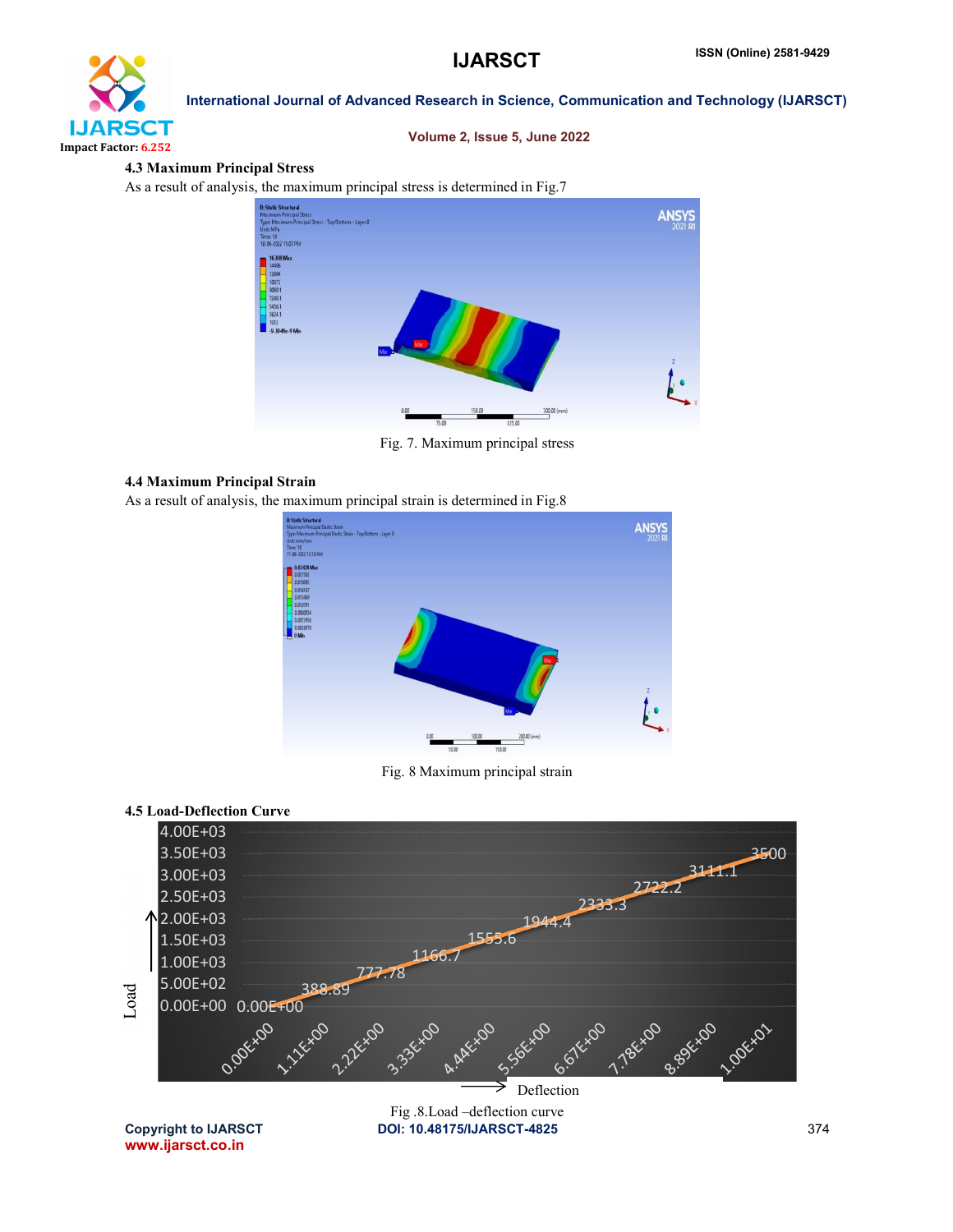

#### Volume 2, Issue 5, June 2022

#### 4.3 Maximum Principal Stress

As a result of analysis, the maximum principal stress is determined in Fig.7



Fig. 7. Maximum principal stress

## 4.4 Maximum Principal Strain

As a result of analysis, the maximum principal strain is determined in Fig.8



Fig. 8 Maximum principal strain

## 4.5 Load-Deflection Curve

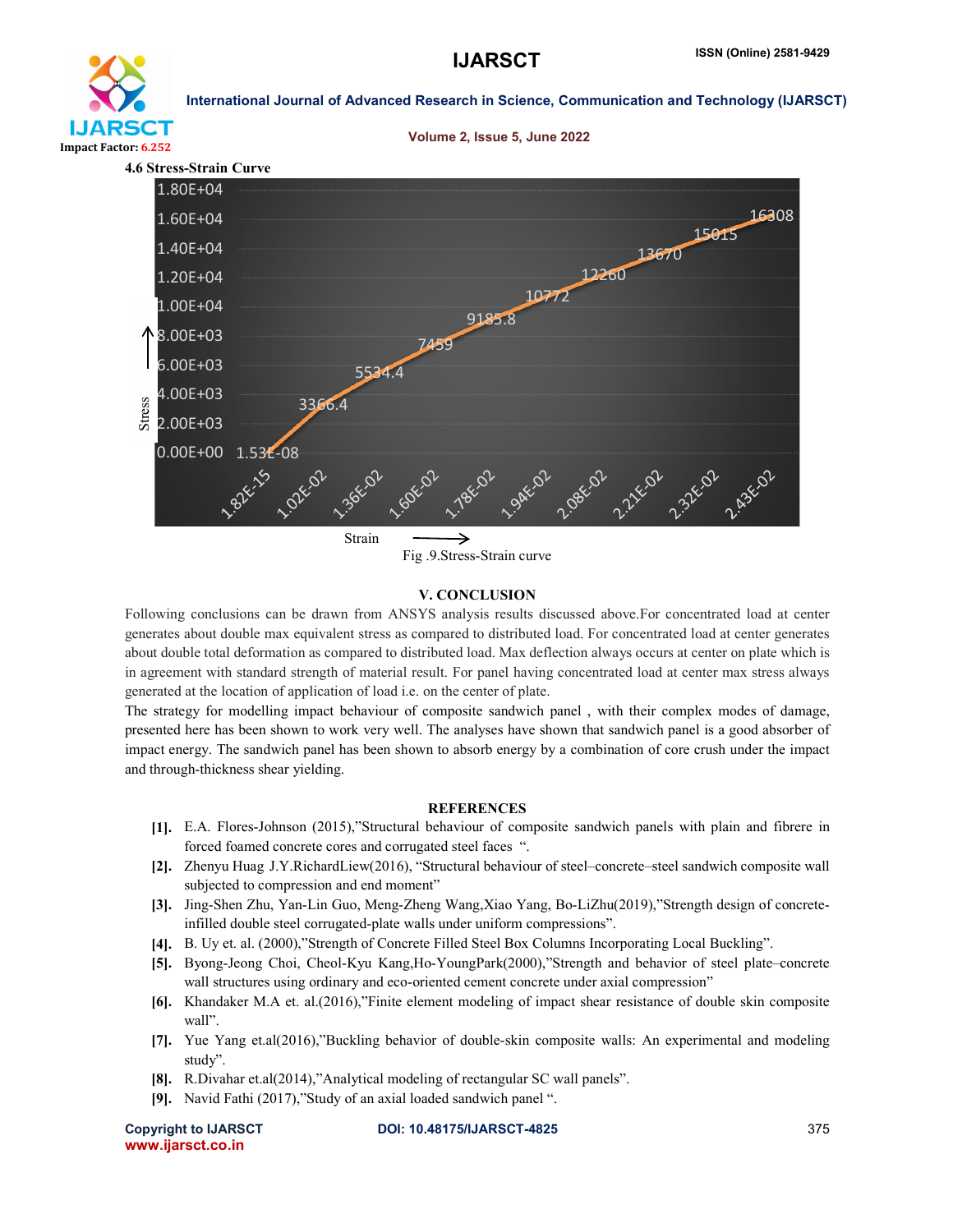





Fig .9.Stress-Strain curve

#### V. CONCLUSION

Following conclusions can be drawn from ANSYS analysis results discussed above.For concentrated load at center generates about double max equivalent stress as compared to distributed load. For concentrated load at center generates about double total deformation as compared to distributed load. Max deflection always occurs at center on plate which is in agreement with standard strength of material result. For panel having concentrated load at center max stress always generated at the location of application of load i.e. on the center of plate.

The strategy for modelling impact behaviour of composite sandwich panel , with their complex modes of damage, presented here has been shown to work very well. The analyses have shown that sandwich panel is a good absorber of impact energy. The sandwich panel has been shown to absorb energy by a combination of core crush under the impact and through-thickness shear yielding.

#### **REFERENCES**

- [1]. E.A. Flores-Johnson (2015),"Structural behaviour of composite sandwich panels with plain and fibrere in forced foamed concrete cores and corrugated steel faces ".
- [2]. Zhenyu Huag J.Y.RichardLiew(2016), "Structural behaviour of steel–concrete–steel sandwich composite wall subjected to compression and end moment"
- [3]. Jing-Shen Zhu, Yan-Lin Guo, Meng-Zheng Wang,Xiao Yang, Bo-LiZhu(2019),"Strength design of concreteinfilled double steel corrugated-plate walls under uniform compressions".
- [4]. B. Uy et. al. (2000),"Strength of Concrete Filled Steel Box Columns Incorporating Local Buckling".
- [5]. Byong-Jeong Choi, Cheol-Kyu Kang,Ho-YoungPark(2000),"Strength and behavior of steel plate–concrete wall structures using ordinary and eco-oriented cement concrete under axial compression"
- [6]. Khandaker M.A et. al.(2016),"Finite element modeling of impact shear resistance of double skin composite wall".
- [7]. Yue Yang et.al(2016),"Buckling behavior of double-skin composite walls: An experimental and modeling study".
- [8]. R.Divahar et.al(2014),"Analytical modeling of rectangular SC wall panels".
- [9]. Navid Fathi (2017),"Study of an axial loaded sandwich panel ".

www.ijarsct.co.in